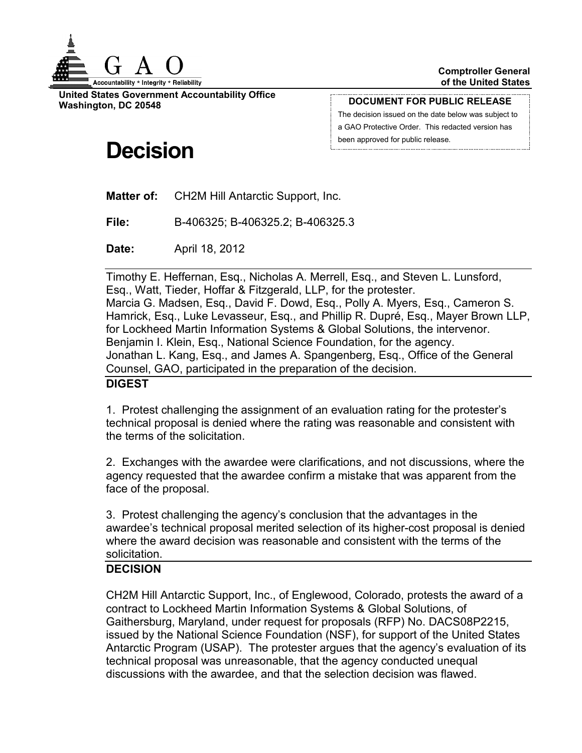

**United States Government Accountability Office Washington, DC 20548**

#### **DOCUMENT FOR PUBLIC RELEASE**

The decision issued on the date below was subject to a GAO Protective Order. This redacted version has been approved for public release.

# **Decision**

**Matter of:** CH2M Hill Antarctic Support, Inc.

**File:** B-406325; B-406325.2; B-406325.3

**Date:** April 18, 2012

Timothy E. Heffernan, Esq., Nicholas A. Merrell, Esq., and Steven L. Lunsford, Esq., Watt, Tieder, Hoffar & Fitzgerald, LLP, for the protester. Marcia G. Madsen, Esq., David F. Dowd, Esq., Polly A. Myers, Esq., Cameron S. Hamrick, Esq., Luke Levasseur, Esq., and Phillip R. Dupré, Esq., Mayer Brown LLP, for Lockheed Martin Information Systems & Global Solutions, the intervenor. Benjamin I. Klein, Esq., National Science Foundation, for the agency. Jonathan L. Kang, Esq., and James A. Spangenberg, Esq., Office of the General Counsel, GAO, participated in the preparation of the decision.

### **DIGEST**

1. Protest challenging the assignment of an evaluation rating for the protester's technical proposal is denied where the rating was reasonable and consistent with the terms of the solicitation.

2. Exchanges with the awardee were clarifications, and not discussions, where the agency requested that the awardee confirm a mistake that was apparent from the face of the proposal.

3. Protest challenging the agency's conclusion that the advantages in the awardee's technical proposal merited selection of its higher-cost proposal is denied where the award decision was reasonable and consistent with the terms of the solicitation.

# **DECISION**

CH2M Hill Antarctic Support, Inc., of Englewood, Colorado, protests the award of a contract to Lockheed Martin Information Systems & Global Solutions, of Gaithersburg, Maryland, under request for proposals (RFP) No. DACS08P2215, issued by the National Science Foundation (NSF), for support of the United States Antarctic Program (USAP). The protester argues that the agency's evaluation of its technical proposal was unreasonable, that the agency conducted unequal discussions with the awardee, and that the selection decision was flawed.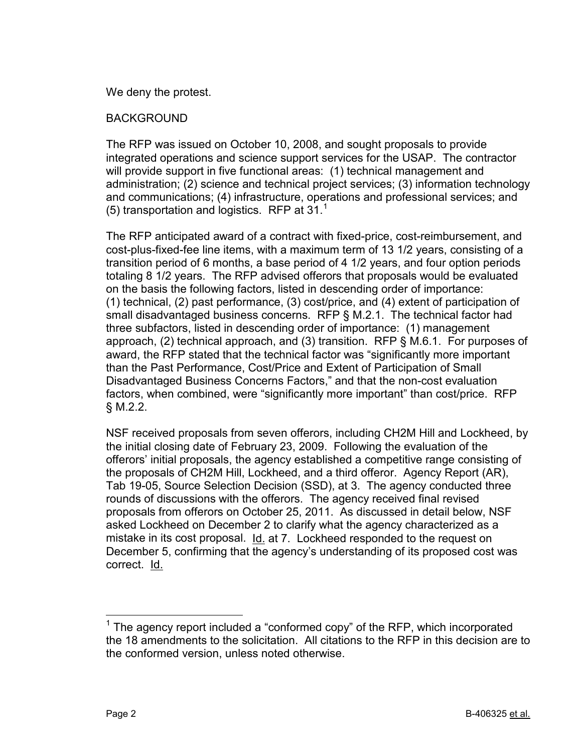We deny the protest.

# BACKGROUND

The RFP was issued on October 10, 2008, and sought proposals to provide integrated operations and science support services for the USAP. The contractor will provide support in five functional areas: (1) technical management and administration; (2) science and technical project services; (3) information technology and communications; (4) infrastructure, operations and professional services; and (5) transportation and logistics. RFP at  $31<sup>1</sup>$  $31<sup>1</sup>$  $31<sup>1</sup>$ 

The RFP anticipated award of a contract with fixed-price, cost-reimbursement, and cost-plus-fixed-fee line items, with a maximum term of 13 1/2 years, consisting of a transition period of 6 months, a base period of 4 1/2 years, and four option periods totaling 8 1/2 years. The RFP advised offerors that proposals would be evaluated on the basis the following factors, listed in descending order of importance: (1) technical, (2) past performance, (3) cost/price, and (4) extent of participation of small disadvantaged business concerns. RFP § M.2.1. The technical factor had three subfactors, listed in descending order of importance: (1) management approach, (2) technical approach, and (3) transition. RFP § M.6.1. For purposes of award, the RFP stated that the technical factor was "significantly more important than the Past Performance, Cost/Price and Extent of Participation of Small Disadvantaged Business Concerns Factors," and that the non-cost evaluation factors, when combined, were "significantly more important" than cost/price. RFP § M.2.2.

NSF received proposals from seven offerors, including CH2M Hill and Lockheed, by the initial closing date of February 23, 2009. Following the evaluation of the offerors' initial proposals, the agency established a competitive range consisting of the proposals of CH2M Hill, Lockheed, and a third offeror. Agency Report (AR), Tab 19-05, Source Selection Decision (SSD), at 3. The agency conducted three rounds of discussions with the offerors. The agency received final revised proposals from offerors on October 25, 2011. As discussed in detail below, NSF asked Lockheed on December 2 to clarify what the agency characterized as a mistake in its cost proposal. Id. at 7. Lockheed responded to the request on December 5, confirming that the agency's understanding of its proposed cost was correct. Id.

<span id="page-1-0"></span> $1$  The agency report included a "conformed copy" of the RFP, which incorporated the 18 amendments to the solicitation. All citations to the RFP in this decision are to the conformed version, unless noted otherwise.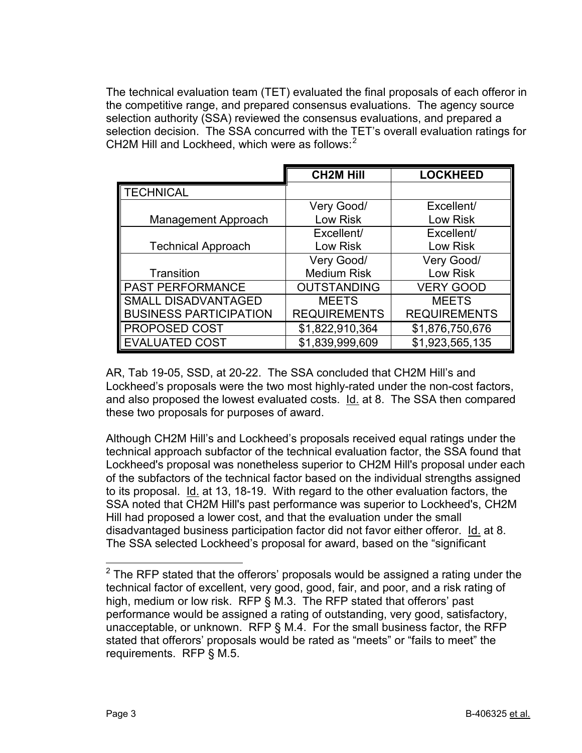The technical evaluation team (TET) evaluated the final proposals of each offeror in the competitive range, and prepared consensus evaluations. The agency source selection authority (SSA) reviewed the consensus evaluations, and prepared a selection decision. The SSA concurred with the TET's overall evaluation ratings for CH[2](#page-2-0)M Hill and Lockheed, which were as follows: $^2$ 

|                               | <b>CH2M Hill</b>    | <b>LOCKHEED</b>     |
|-------------------------------|---------------------|---------------------|
| <b>TECHNICAL</b>              |                     |                     |
|                               | Very Good/          | Excellent/          |
| Management Approach           | Low Risk            | Low Risk            |
|                               | Excellent/          | Excellent/          |
| <b>Technical Approach</b>     | Low Risk            | Low Risk            |
|                               | Very Good/          | Very Good/          |
| Transition                    | <b>Medium Risk</b>  | <b>Low Risk</b>     |
| <b>PAST PERFORMANCE</b>       | <b>OUTSTANDING</b>  | <b>VERY GOOD</b>    |
| <b>SMALL DISADVANTAGED</b>    | <b>MEETS</b>        | <b>MEETS</b>        |
| <b>BUSINESS PARTICIPATION</b> | <b>REQUIREMENTS</b> | <b>REQUIREMENTS</b> |
| PROPOSED COST                 | \$1,822,910,364     | \$1,876,750,676     |
| <b>EVALUATED COST</b>         | \$1,839,999,609     | \$1,923,565,135     |

AR, Tab 19-05, SSD, at 20-22. The SSA concluded that CH2M Hill's and Lockheed's proposals were the two most highly-rated under the non-cost factors, and also proposed the lowest evaluated costs. Id. at 8. The SSA then compared these two proposals for purposes of award.

Although CH2M Hill's and Lockheed's proposals received equal ratings under the technical approach subfactor of the technical evaluation factor, the SSA found that Lockheed's proposal was nonetheless superior to CH2M Hill's proposal under each of the subfactors of the technical factor based on the individual strengths assigned to its proposal. Id. at 13, 18-19. With regard to the other evaluation factors, the SSA noted that CH2M Hill's past performance was superior to Lockheed's, CH2M Hill had proposed a lower cost, and that the evaluation under the small disadvantaged business participation factor did not favor either offeror. Id. at 8. The SSA selected Lockheed's proposal for award, based on the "significant

<span id="page-2-0"></span> $2$  The RFP stated that the offerors' proposals would be assigned a rating under the technical factor of excellent, very good, good, fair, and poor, and a risk rating of high, medium or low risk. RFP § M.3. The RFP stated that offerors' past performance would be assigned a rating of outstanding, very good, satisfactory, unacceptable, or unknown. RFP § M.4. For the small business factor, the RFP stated that offerors' proposals would be rated as "meets" or "fails to meet" the requirements. RFP § M.5.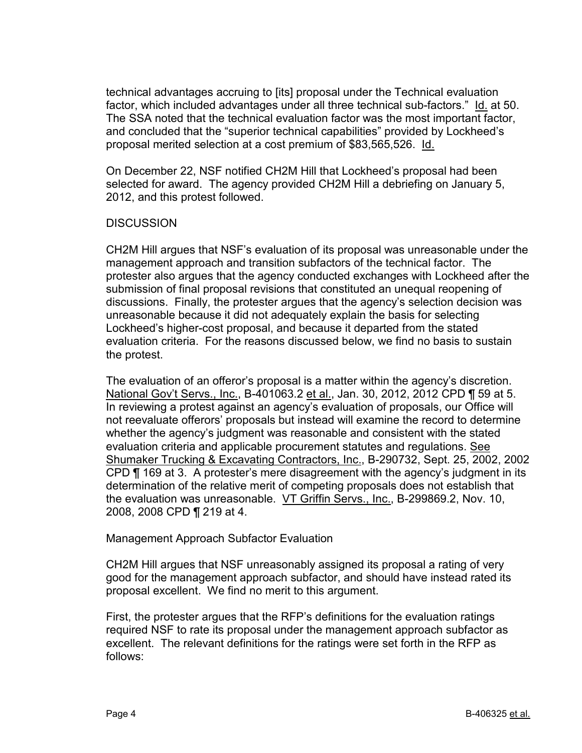technical advantages accruing to [its] proposal under the Technical evaluation factor, which included advantages under all three technical sub-factors." Id. at 50. The SSA noted that the technical evaluation factor was the most important factor, and concluded that the "superior technical capabilities" provided by Lockheed's proposal merited selection at a cost premium of \$83,565,526. Id.

On December 22, NSF notified CH2M Hill that Lockheed's proposal had been selected for award. The agency provided CH2M Hill a debriefing on January 5, 2012, and this protest followed.

## **DISCUSSION**

CH2M Hill argues that NSF's evaluation of its proposal was unreasonable under the management approach and transition subfactors of the technical factor. The protester also argues that the agency conducted exchanges with Lockheed after the submission of final proposal revisions that constituted an unequal reopening of discussions. Finally, the protester argues that the agency's selection decision was unreasonable because it did not adequately explain the basis for selecting Lockheed's higher-cost proposal, and because it departed from the stated evaluation criteria. For the reasons discussed below, we find no basis to sustain the protest.

The evaluation of an offeror's proposal is a matter within the agency's discretion. National Gov't Servs., Inc., B-401063.2 et al., Jan. 30, 2012, 2012 CPD ¶ 59 at 5. In reviewing a protest against an agency's evaluation of proposals, our Office will not reevaluate offerors' proposals but instead will examine the record to determine whether the agency's judgment was reasonable and consistent with the stated evaluation criteria and applicable procurement statutes and regulations. See Shumaker Trucking & Excavating Contractors, Inc., B-290732, Sept. 25, 2002, 2002 CPD ¶ 169 at 3. A protester's mere disagreement with the agency's judgment in its determination of the relative merit of competing proposals does not establish that the evaluation was unreasonable. VT Griffin Servs., Inc., B-299869.2, Nov. 10, 2008, 2008 CPD ¶ 219 at 4.

### Management Approach Subfactor Evaluation

CH2M Hill argues that NSF unreasonably assigned its proposal a rating of very good for the management approach subfactor, and should have instead rated its proposal excellent. We find no merit to this argument.

First, the protester argues that the RFP's definitions for the evaluation ratings required NSF to rate its proposal under the management approach subfactor as excellent. The relevant definitions for the ratings were set forth in the RFP as follows: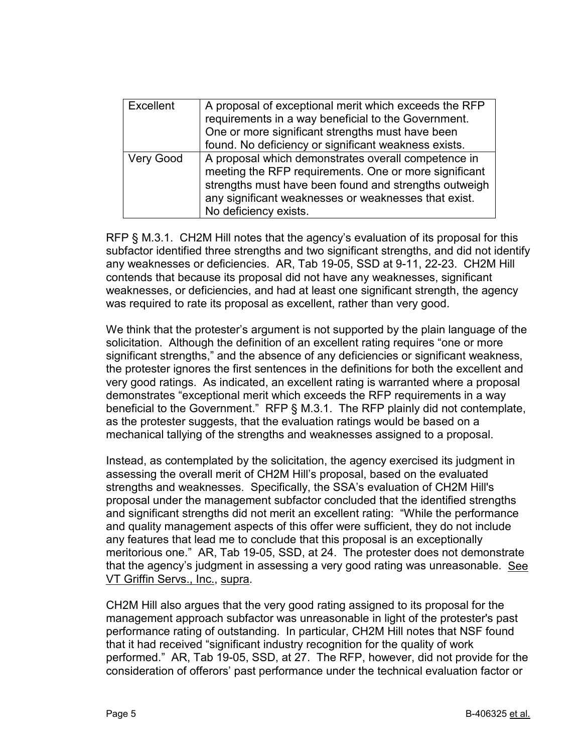| Excellent        | A proposal of exceptional merit which exceeds the RFP<br>requirements in a way beneficial to the Government.<br>One or more significant strengths must have been                                                                                       |
|------------------|--------------------------------------------------------------------------------------------------------------------------------------------------------------------------------------------------------------------------------------------------------|
|                  | found. No deficiency or significant weakness exists.                                                                                                                                                                                                   |
| <b>Very Good</b> | A proposal which demonstrates overall competence in<br>meeting the RFP requirements. One or more significant<br>strengths must have been found and strengths outweigh<br>any significant weaknesses or weaknesses that exist.<br>No deficiency exists. |

RFP § M.3.1. CH2M Hill notes that the agency's evaluation of its proposal for this subfactor identified three strengths and two significant strengths, and did not identify any weaknesses or deficiencies. AR, Tab 19-05, SSD at 9-11, 22-23. CH2M Hill contends that because its proposal did not have any weaknesses, significant weaknesses, or deficiencies, and had at least one significant strength, the agency was required to rate its proposal as excellent, rather than very good.

We think that the protester's argument is not supported by the plain language of the solicitation. Although the definition of an excellent rating requires "one or more significant strengths," and the absence of any deficiencies or significant weakness, the protester ignores the first sentences in the definitions for both the excellent and very good ratings. As indicated, an excellent rating is warranted where a proposal demonstrates "exceptional merit which exceeds the RFP requirements in a way beneficial to the Government." RFP § M.3.1. The RFP plainly did not contemplate, as the protester suggests, that the evaluation ratings would be based on a mechanical tallying of the strengths and weaknesses assigned to a proposal.

Instead, as contemplated by the solicitation, the agency exercised its judgment in assessing the overall merit of CH2M Hill's proposal, based on the evaluated strengths and weaknesses. Specifically, the SSA's evaluation of CH2M Hill's proposal under the management subfactor concluded that the identified strengths and significant strengths did not merit an excellent rating: "While the performance and quality management aspects of this offer were sufficient, they do not include any features that lead me to conclude that this proposal is an exceptionally meritorious one." AR, Tab 19-05, SSD, at 24. The protester does not demonstrate that the agency's judgment in assessing a very good rating was unreasonable. See VT Griffin Servs., Inc., supra.

CH2M Hill also argues that the very good rating assigned to its proposal for the management approach subfactor was unreasonable in light of the protester's past performance rating of outstanding. In particular, CH2M Hill notes that NSF found that it had received "significant industry recognition for the quality of work performed." AR, Tab 19-05, SSD, at 27. The RFP, however, did not provide for the consideration of offerors' past performance under the technical evaluation factor or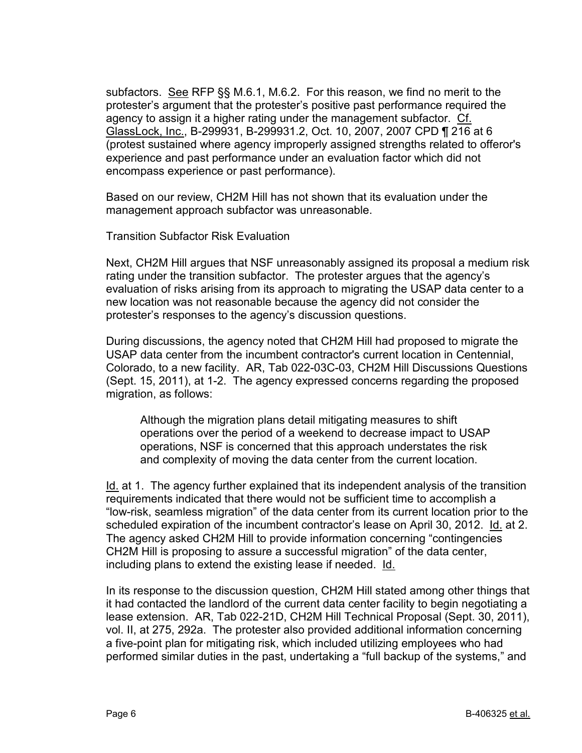subfactors. See RFP §§ M.6.1, M.6.2. For this reason, we find no merit to the protester's argument that the protester's positive past performance required the agency to assign it a higher rating under the management subfactor. Cf. GlassLock, Inc., B-299931, B-299931.2, Oct. 10, 2007, 2007 CPD ¶ 216 at 6 (protest sustained where agency improperly assigned strengths related to offeror's experience and past performance under an evaluation factor which did not encompass experience or past performance).

Based on our review, CH2M Hill has not shown that its evaluation under the management approach subfactor was unreasonable.

Transition Subfactor Risk Evaluation

Next, CH2M Hill argues that NSF unreasonably assigned its proposal a medium risk rating under the transition subfactor. The protester argues that the agency's evaluation of risks arising from its approach to migrating the USAP data center to a new location was not reasonable because the agency did not consider the protester's responses to the agency's discussion questions.

During discussions, the agency noted that CH2M Hill had proposed to migrate the USAP data center from the incumbent contractor's current location in Centennial, Colorado, to a new facility. AR, Tab 022-03C-03, CH2M Hill Discussions Questions (Sept. 15, 2011), at 1-2. The agency expressed concerns regarding the proposed migration, as follows:

Although the migration plans detail mitigating measures to shift operations over the period of a weekend to decrease impact to USAP operations, NSF is concerned that this approach understates the risk and complexity of moving the data center from the current location.

Id. at 1. The agency further explained that its independent analysis of the transition requirements indicated that there would not be sufficient time to accomplish a "low-risk, seamless migration" of the data center from its current location prior to the scheduled expiration of the incumbent contractor's lease on April 30, 2012. Id. at 2. The agency asked CH2M Hill to provide information concerning "contingencies CH2M Hill is proposing to assure a successful migration" of the data center, including plans to extend the existing lease if needed. Id.

In its response to the discussion question, CH2M Hill stated among other things that it had contacted the landlord of the current data center facility to begin negotiating a lease extension. AR, Tab 022-21D, CH2M Hill Technical Proposal (Sept. 30, 2011), vol. II, at 275, 292a. The protester also provided additional information concerning a five-point plan for mitigating risk, which included utilizing employees who had performed similar duties in the past, undertaking a "full backup of the systems," and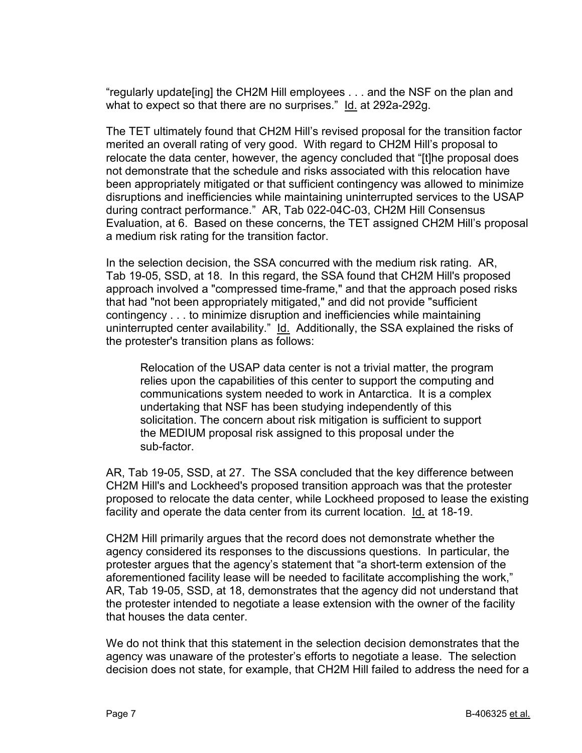"regularly update[ing] the CH2M Hill employees . . . and the NSF on the plan and what to expect so that there are no surprises." Id. at 292a-292g.

The TET ultimately found that CH2M Hill's revised proposal for the transition factor merited an overall rating of very good. With regard to CH2M Hill's proposal to relocate the data center, however, the agency concluded that "[t]he proposal does not demonstrate that the schedule and risks associated with this relocation have been appropriately mitigated or that sufficient contingency was allowed to minimize disruptions and inefficiencies while maintaining uninterrupted services to the USAP during contract performance." AR, Tab 022-04C-03, CH2M Hill Consensus Evaluation, at 6. Based on these concerns, the TET assigned CH2M Hill's proposal a medium risk rating for the transition factor.

In the selection decision, the SSA concurred with the medium risk rating. AR, Tab 19-05, SSD, at 18. In this regard, the SSA found that CH2M Hill's proposed approach involved a "compressed time-frame," and that the approach posed risks that had "not been appropriately mitigated," and did not provide "sufficient contingency . . . to minimize disruption and inefficiencies while maintaining uninterrupted center availability." Id. Additionally, the SSA explained the risks of the protester's transition plans as follows:

Relocation of the USAP data center is not a trivial matter, the program relies upon the capabilities of this center to support the computing and communications system needed to work in Antarctica. It is a complex undertaking that NSF has been studying independently of this solicitation. The concern about risk mitigation is sufficient to support the MEDIUM proposal risk assigned to this proposal under the sub-factor.

AR, Tab 19-05, SSD, at 27. The SSA concluded that the key difference between CH2M Hill's and Lockheed's proposed transition approach was that the protester proposed to relocate the data center, while Lockheed proposed to lease the existing facility and operate the data center from its current location. Id. at 18-19.

CH2M Hill primarily argues that the record does not demonstrate whether the agency considered its responses to the discussions questions. In particular, the protester argues that the agency's statement that "a short-term extension of the aforementioned facility lease will be needed to facilitate accomplishing the work," AR, Tab 19-05, SSD, at 18, demonstrates that the agency did not understand that the protester intended to negotiate a lease extension with the owner of the facility that houses the data center.

We do not think that this statement in the selection decision demonstrates that the agency was unaware of the protester's efforts to negotiate a lease. The selection decision does not state, for example, that CH2M Hill failed to address the need for a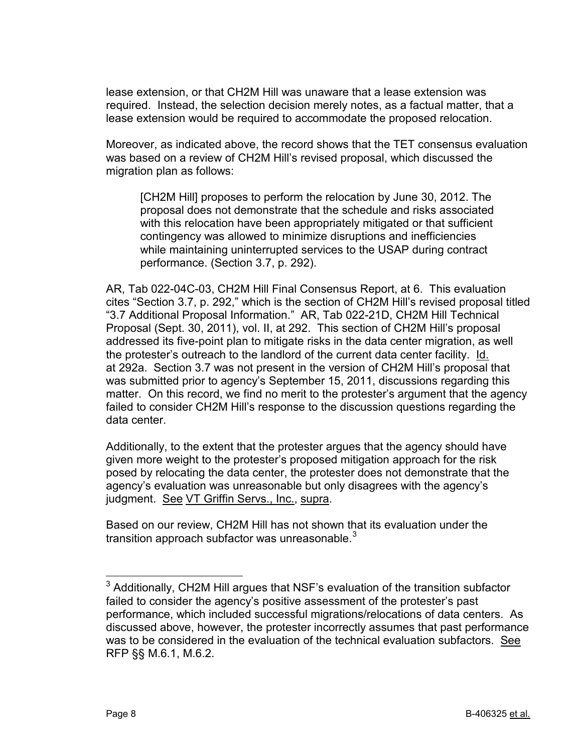lease extension, or that CH2M Hill was unaware that a lease extension was required. Instead, the selection decision merely notes, as a factual matter, that a lease extension would be required to accommodate the proposed relocation.

Moreover, as indicated above, the record shows that the TET consensus evaluation was based on a review of CH2M Hill's revised proposal, which discussed the migration plan as follows:

[CH2M Hill] proposes to perform the relocation by June 30, 2012. The proposal does not demonstrate that the schedule and risks associated with this relocation have been appropriately mitigated or that sufficient contingency was allowed to minimize disruptions and inefficiencies while maintaining uninterrupted services to the USAP during contract performance. (Section 3.7, p. 292).

AR, Tab 022-04C-03, CH2M Hill Final Consensus Report, at 6. This evaluation cites "Section 3.7, p. 292," which is the section of CH2M Hill's revised proposal titled "3.7 Additional Proposal Information." AR, Tab 022-21D, CH2M Hill Technical Proposal (Sept. 30, 2011), vol. II, at 292. This section of CH2M Hill's proposal addressed its five-point plan to mitigate risks in the data center migration, as well the protester's outreach to the landlord of the current data center facility. Id. at 292a. Section 3.7 was not present in the version of CH2M Hill's proposal that was submitted prior to agency's September 15, 2011, discussions regarding this matter. On this record, we find no merit to the protester's argument that the agency failed to consider CH2M Hill's response to the discussion questions regarding the data center.

Additionally, to the extent that the protester argues that the agency should have given more weight to the protester's proposed mitigation approach for the risk posed by relocating the data center, the protester does not demonstrate that the agency's evaluation was unreasonable but only disagrees with the agency's judgment. See VT Griffin Servs., Inc., supra.

Based on our review, CH2M Hill has not shown that its evaluation under the transition approach subfactor was unreasonable. $3$ 

<span id="page-7-0"></span> $3$  Additionally, CH2M Hill argues that NSF's evaluation of the transition subfactor failed to consider the agency's positive assessment of the protester's past performance, which included successful migrations/relocations of data centers. As discussed above, however, the protester incorrectly assumes that past performance was to be considered in the evaluation of the technical evaluation subfactors. See RFP §§ M.6.1, M.6.2.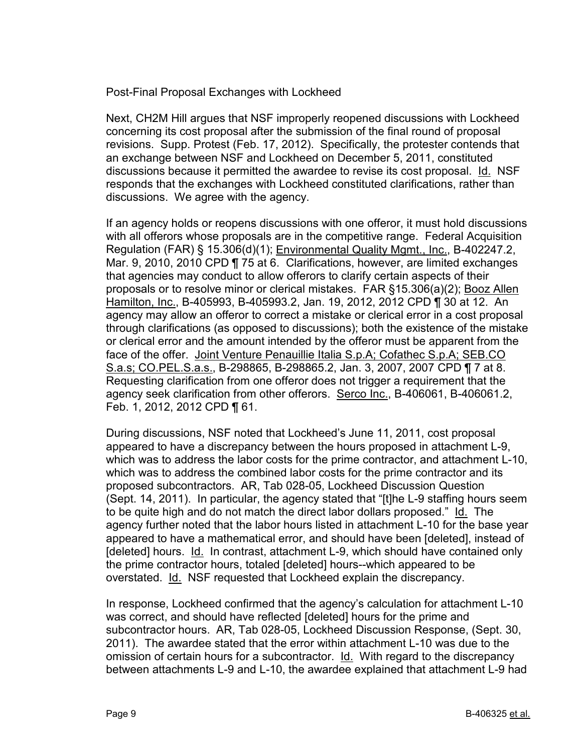Post-Final Proposal Exchanges with Lockheed

Next, CH2M Hill argues that NSF improperly reopened discussions with Lockheed concerning its cost proposal after the submission of the final round of proposal revisions. Supp. Protest (Feb. 17, 2012). Specifically, the protester contends that an exchange between NSF and Lockheed on December 5, 2011, constituted discussions because it permitted the awardee to revise its cost proposal. Id. NSF responds that the exchanges with Lockheed constituted clarifications, rather than discussions. We agree with the agency.

If an agency holds or reopens discussions with one offeror, it must hold discussions with all offerors whose proposals are in the competitive range. Federal Acquisition Regulation (FAR) § 15.306(d)(1); Environmental Quality Mgmt., Inc., B-402247.2, Mar. 9, 2010, 2010 CPD ¶ 75 at 6. Clarifications, however, are limited exchanges that agencies may conduct to allow offerors to clarify certain aspects of their proposals or to resolve minor or clerical mistakes. FAR §15.306(a)(2); Booz Allen Hamilton, Inc., B-405993, B-405993.2, Jan. 19, 2012, 2012 CPD ¶ 30 at 12. An agency may allow an offeror to correct a mistake or clerical error in a cost proposal through clarifications (as opposed to discussions); both the existence of the mistake or clerical error and the amount intended by the offeror must be apparent from the face of the offer. Joint Venture Penauillie Italia S.p.A; Cofathec S.p.A; SEB.CO S.a.s; CO.PEL.S.a.s., B-298865, B-298865.2, Jan. 3, 2007, 2007 CPD ¶ 7 at 8. Requesting clarification from one offeror does not trigger a requirement that the agency seek clarification from other offerors. Serco Inc., B-406061, B-406061.2, Feb. 1, 2012, 2012 CPD ¶ 61.

During discussions, NSF noted that Lockheed's June 11, 2011, cost proposal appeared to have a discrepancy between the hours proposed in attachment L-9, which was to address the labor costs for the prime contractor, and attachment L-10, which was to address the combined labor costs for the prime contractor and its proposed subcontractors. AR, Tab 028-05, Lockheed Discussion Question (Sept. 14, 2011). In particular, the agency stated that "[t]he L-9 staffing hours seem to be quite high and do not match the direct labor dollars proposed." Id. The agency further noted that the labor hours listed in attachment L-10 for the base year appeared to have a mathematical error, and should have been [deleted], instead of [deleted] hours. Id. In contrast, attachment L-9, which should have contained only the prime contractor hours, totaled [deleted] hours--which appeared to be overstated. Id. NSF requested that Lockheed explain the discrepancy.

In response, Lockheed confirmed that the agency's calculation for attachment L-10 was correct, and should have reflected [deleted] hours for the prime and subcontractor hours. AR, Tab 028-05, Lockheed Discussion Response, (Sept. 30, 2011). The awardee stated that the error within attachment L-10 was due to the omission of certain hours for a subcontractor. Id. With regard to the discrepancy between attachments L-9 and L-10, the awardee explained that attachment L-9 had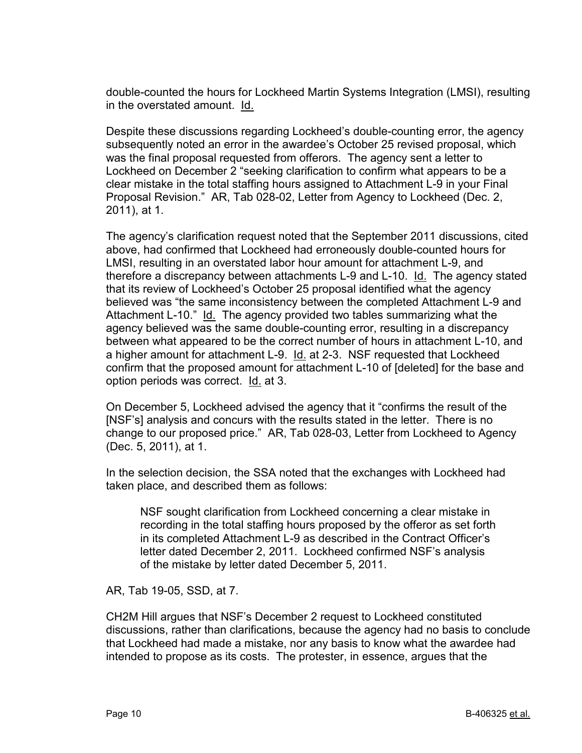double-counted the hours for Lockheed Martin Systems Integration (LMSI), resulting in the overstated amount. Id.

Despite these discussions regarding Lockheed's double-counting error, the agency subsequently noted an error in the awardee's October 25 revised proposal, which was the final proposal requested from offerors. The agency sent a letter to Lockheed on December 2 "seeking clarification to confirm what appears to be a clear mistake in the total staffing hours assigned to Attachment L-9 in your Final Proposal Revision." AR, Tab 028-02, Letter from Agency to Lockheed (Dec. 2, 2011), at 1.

The agency's clarification request noted that the September 2011 discussions, cited above, had confirmed that Lockheed had erroneously double-counted hours for LMSI, resulting in an overstated labor hour amount for attachment L-9, and therefore a discrepancy between attachments L-9 and L-10. Id. The agency stated that its review of Lockheed's October 25 proposal identified what the agency believed was "the same inconsistency between the completed Attachment L-9 and Attachment L-10." Id. The agency provided two tables summarizing what the agency believed was the same double-counting error, resulting in a discrepancy between what appeared to be the correct number of hours in attachment L-10, and a higher amount for attachment L-9. Id. at 2-3. NSF requested that Lockheed confirm that the proposed amount for attachment L-10 of [deleted] for the base and option periods was correct. Id. at 3.

On December 5, Lockheed advised the agency that it "confirms the result of the [NSF's] analysis and concurs with the results stated in the letter. There is no change to our proposed price." AR, Tab 028-03, Letter from Lockheed to Agency (Dec. 5, 2011), at 1.

In the selection decision, the SSA noted that the exchanges with Lockheed had taken place, and described them as follows:

NSF sought clarification from Lockheed concerning a clear mistake in recording in the total staffing hours proposed by the offeror as set forth in its completed Attachment L-9 as described in the Contract Officer's letter dated December 2, 2011. Lockheed confirmed NSF's analysis of the mistake by letter dated December 5, 2011.

AR, Tab 19-05, SSD, at 7.

CH2M Hill argues that NSF's December 2 request to Lockheed constituted discussions, rather than clarifications, because the agency had no basis to conclude that Lockheed had made a mistake, nor any basis to know what the awardee had intended to propose as its costs. The protester, in essence, argues that the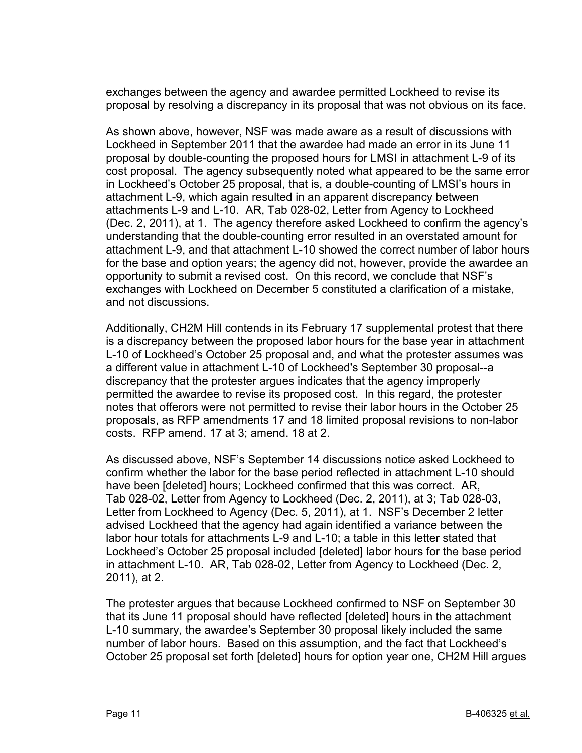exchanges between the agency and awardee permitted Lockheed to revise its proposal by resolving a discrepancy in its proposal that was not obvious on its face.

As shown above, however, NSF was made aware as a result of discussions with Lockheed in September 2011 that the awardee had made an error in its June 11 proposal by double-counting the proposed hours for LMSI in attachment L-9 of its cost proposal. The agency subsequently noted what appeared to be the same error in Lockheed's October 25 proposal, that is, a double-counting of LMSI's hours in attachment L-9, which again resulted in an apparent discrepancy between attachments L-9 and L-10. AR, Tab 028-02, Letter from Agency to Lockheed (Dec. 2, 2011), at 1. The agency therefore asked Lockheed to confirm the agency's understanding that the double-counting error resulted in an overstated amount for attachment L-9, and that attachment L-10 showed the correct number of labor hours for the base and option years; the agency did not, however, provide the awardee an opportunity to submit a revised cost. On this record, we conclude that NSF's exchanges with Lockheed on December 5 constituted a clarification of a mistake, and not discussions.

Additionally, CH2M Hill contends in its February 17 supplemental protest that there is a discrepancy between the proposed labor hours for the base year in attachment L-10 of Lockheed's October 25 proposal and, and what the protester assumes was a different value in attachment L-10 of Lockheed's September 30 proposal--a discrepancy that the protester argues indicates that the agency improperly permitted the awardee to revise its proposed cost. In this regard, the protester notes that offerors were not permitted to revise their labor hours in the October 25 proposals, as RFP amendments 17 and 18 limited proposal revisions to non-labor costs. RFP amend. 17 at 3; amend. 18 at 2.

As discussed above, NSF's September 14 discussions notice asked Lockheed to confirm whether the labor for the base period reflected in attachment L-10 should have been [deleted] hours; Lockheed confirmed that this was correct. AR, Tab 028-02, Letter from Agency to Lockheed (Dec. 2, 2011), at 3; Tab 028-03, Letter from Lockheed to Agency (Dec. 5, 2011), at 1. NSF's December 2 letter advised Lockheed that the agency had again identified a variance between the labor hour totals for attachments L-9 and L-10; a table in this letter stated that Lockheed's October 25 proposal included [deleted] labor hours for the base period in attachment L-10. AR, Tab 028-02, Letter from Agency to Lockheed (Dec. 2, 2011), at 2.

The protester argues that because Lockheed confirmed to NSF on September 30 that its June 11 proposal should have reflected [deleted] hours in the attachment L-10 summary, the awardee's September 30 proposal likely included the same number of labor hours. Based on this assumption, and the fact that Lockheed's October 25 proposal set forth [deleted] hours for option year one, CH2M Hill argues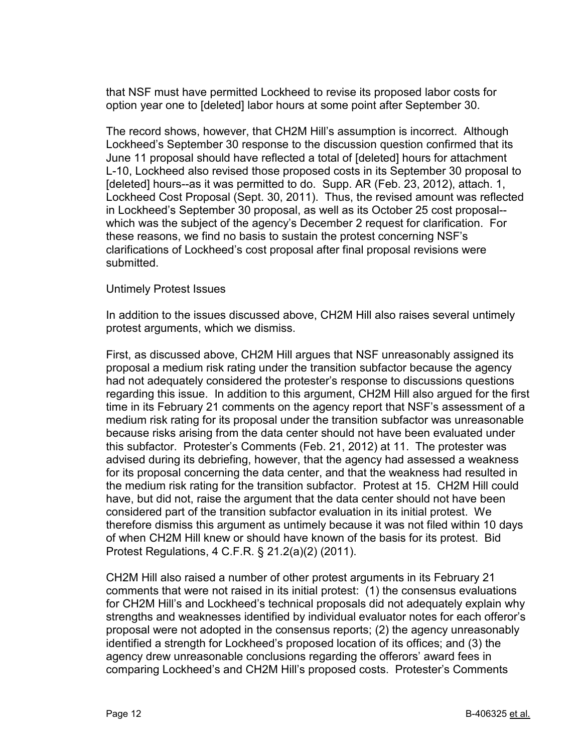that NSF must have permitted Lockheed to revise its proposed labor costs for option year one to [deleted] labor hours at some point after September 30.

The record shows, however, that CH2M Hill's assumption is incorrect. Although Lockheed's September 30 response to the discussion question confirmed that its June 11 proposal should have reflected a total of [deleted] hours for attachment L-10, Lockheed also revised those proposed costs in its September 30 proposal to [deleted] hours--as it was permitted to do. Supp. AR (Feb. 23, 2012), attach. 1, Lockheed Cost Proposal (Sept. 30, 2011). Thus, the revised amount was reflected in Lockheed's September 30 proposal, as well as its October 25 cost proposal- which was the subject of the agency's December 2 request for clarification. For these reasons, we find no basis to sustain the protest concerning NSF's clarifications of Lockheed's cost proposal after final proposal revisions were submitted.

### Untimely Protest Issues

In addition to the issues discussed above, CH2M Hill also raises several untimely protest arguments, which we dismiss.

First, as discussed above, CH2M Hill argues that NSF unreasonably assigned its proposal a medium risk rating under the transition subfactor because the agency had not adequately considered the protester's response to discussions questions regarding this issue. In addition to this argument, CH2M Hill also argued for the first time in its February 21 comments on the agency report that NSF's assessment of a medium risk rating for its proposal under the transition subfactor was unreasonable because risks arising from the data center should not have been evaluated under this subfactor. Protester's Comments (Feb. 21, 2012) at 11. The protester was advised during its debriefing, however, that the agency had assessed a weakness for its proposal concerning the data center, and that the weakness had resulted in the medium risk rating for the transition subfactor. Protest at 15. CH2M Hill could have, but did not, raise the argument that the data center should not have been considered part of the transition subfactor evaluation in its initial protest. We therefore dismiss this argument as untimely because it was not filed within 10 days of when CH2M Hill knew or should have known of the basis for its protest. Bid Protest Regulations, 4 C.F.R. § 21.2(a)(2) (2011).

CH2M Hill also raised a number of other protest arguments in its February 21 comments that were not raised in its initial protest: (1) the consensus evaluations for CH2M Hill's and Lockheed's technical proposals did not adequately explain why strengths and weaknesses identified by individual evaluator notes for each offeror's proposal were not adopted in the consensus reports; (2) the agency unreasonably identified a strength for Lockheed's proposed location of its offices; and (3) the agency drew unreasonable conclusions regarding the offerors' award fees in comparing Lockheed's and CH2M Hill's proposed costs. Protester's Comments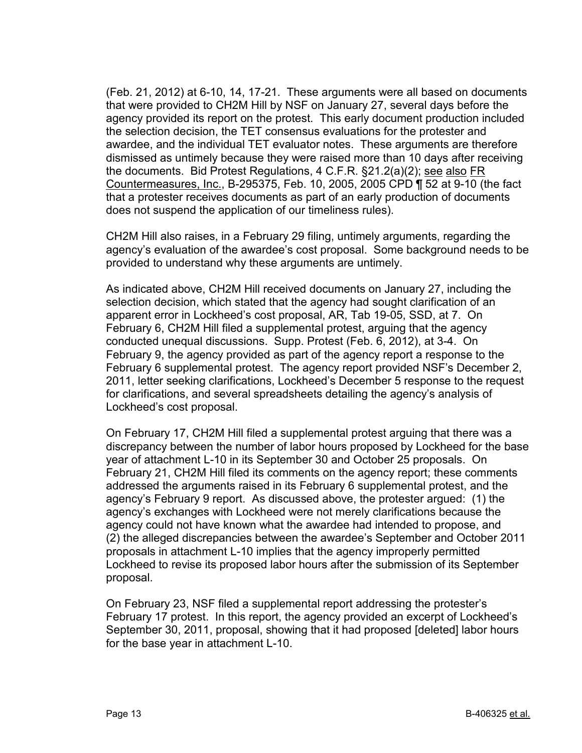(Feb. 21, 2012) at 6-10, 14, 17-21. These arguments were all based on documents that were provided to CH2M Hill by NSF on January 27, several days before the agency provided its report on the protest. This early document production included the selection decision, the TET consensus evaluations for the protester and awardee, and the individual TET evaluator notes. These arguments are therefore dismissed as untimely because they were raised more than 10 days after receiving the documents. Bid Protest Regulations, 4 C.F.R. §21.2(a)(2); see also FR Countermeasures, Inc., B-295375, Feb. 10, 2005, 2005 CPD ¶ 52 at 9-10 (the fact that a protester receives documents as part of an early production of documents does not suspend the application of our timeliness rules).

CH2M Hill also raises, in a February 29 filing, untimely arguments, regarding the agency's evaluation of the awardee's cost proposal. Some background needs to be provided to understand why these arguments are untimely.

As indicated above, CH2M Hill received documents on January 27, including the selection decision, which stated that the agency had sought clarification of an apparent error in Lockheed's cost proposal, AR, Tab 19-05, SSD, at 7. On February 6, CH2M Hill filed a supplemental protest, arguing that the agency conducted unequal discussions. Supp. Protest (Feb. 6, 2012), at 3-4. On February 9, the agency provided as part of the agency report a response to the February 6 supplemental protest. The agency report provided NSF's December 2, 2011, letter seeking clarifications, Lockheed's December 5 response to the request for clarifications, and several spreadsheets detailing the agency's analysis of Lockheed's cost proposal.

On February 17, CH2M Hill filed a supplemental protest arguing that there was a discrepancy between the number of labor hours proposed by Lockheed for the base year of attachment L-10 in its September 30 and October 25 proposals. On February 21, CH2M Hill filed its comments on the agency report; these comments addressed the arguments raised in its February 6 supplemental protest, and the agency's February 9 report. As discussed above, the protester argued: (1) the agency's exchanges with Lockheed were not merely clarifications because the agency could not have known what the awardee had intended to propose, and (2) the alleged discrepancies between the awardee's September and October 2011 proposals in attachment L-10 implies that the agency improperly permitted Lockheed to revise its proposed labor hours after the submission of its September proposal.

On February 23, NSF filed a supplemental report addressing the protester's February 17 protest. In this report, the agency provided an excerpt of Lockheed's September 30, 2011, proposal, showing that it had proposed [deleted] labor hours for the base year in attachment L-10.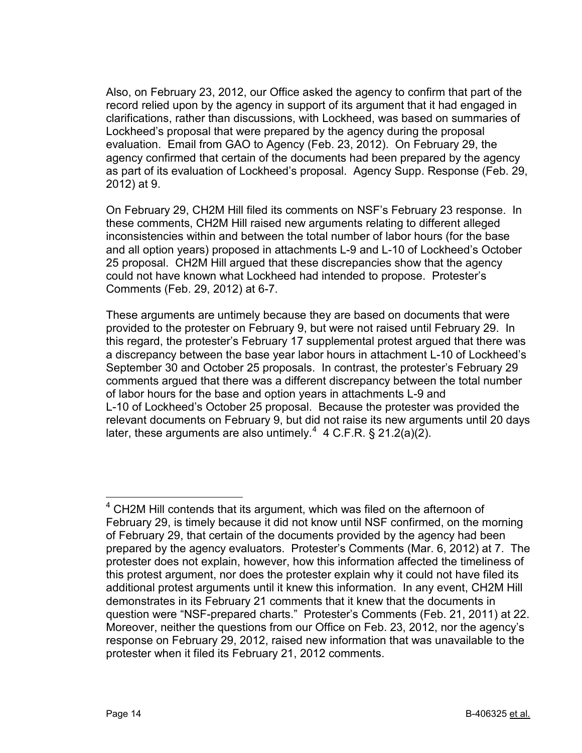Also, on February 23, 2012, our Office asked the agency to confirm that part of the record relied upon by the agency in support of its argument that it had engaged in clarifications, rather than discussions, with Lockheed, was based on summaries of Lockheed's proposal that were prepared by the agency during the proposal evaluation. Email from GAO to Agency (Feb. 23, 2012). On February 29, the agency confirmed that certain of the documents had been prepared by the agency as part of its evaluation of Lockheed's proposal. Agency Supp. Response (Feb. 29, 2012) at 9.

On February 29, CH2M Hill filed its comments on NSF's February 23 response. In these comments, CH2M Hill raised new arguments relating to different alleged inconsistencies within and between the total number of labor hours (for the base and all option years) proposed in attachments L-9 and L-10 of Lockheed's October 25 proposal. CH2M Hill argued that these discrepancies show that the agency could not have known what Lockheed had intended to propose. Protester's Comments (Feb. 29, 2012) at 6-7.

These arguments are untimely because they are based on documents that were provided to the protester on February 9, but were not raised until February 29. In this regard, the protester's February 17 supplemental protest argued that there was a discrepancy between the base year labor hours in attachment L-10 of Lockheed's September 30 and October 25 proposals. In contrast, the protester's February 29 comments argued that there was a different discrepancy between the total number of labor hours for the base and option years in attachments L-9 and L-10 of Lockheed's October 25 proposal. Because the protester was provided the relevant documents on February 9, but did not raise its new arguments until 20 days later, these arguments are also untimely. $4$  4 C.F.R. § 21.2(a)(2).

<span id="page-13-0"></span><sup>&</sup>lt;sup>4</sup> CH2M Hill contends that its argument, which was filed on the afternoon of February 29, is timely because it did not know until NSF confirmed, on the morning of February 29, that certain of the documents provided by the agency had been prepared by the agency evaluators. Protester's Comments (Mar. 6, 2012) at 7. The protester does not explain, however, how this information affected the timeliness of this protest argument, nor does the protester explain why it could not have filed its additional protest arguments until it knew this information. In any event, CH2M Hill demonstrates in its February 21 comments that it knew that the documents in question were "NSF-prepared charts." Protester's Comments (Feb. 21, 2011) at 22. Moreover, neither the questions from our Office on Feb. 23, 2012, nor the agency's response on February 29, 2012, raised new information that was unavailable to the protester when it filed its February 21, 2012 comments.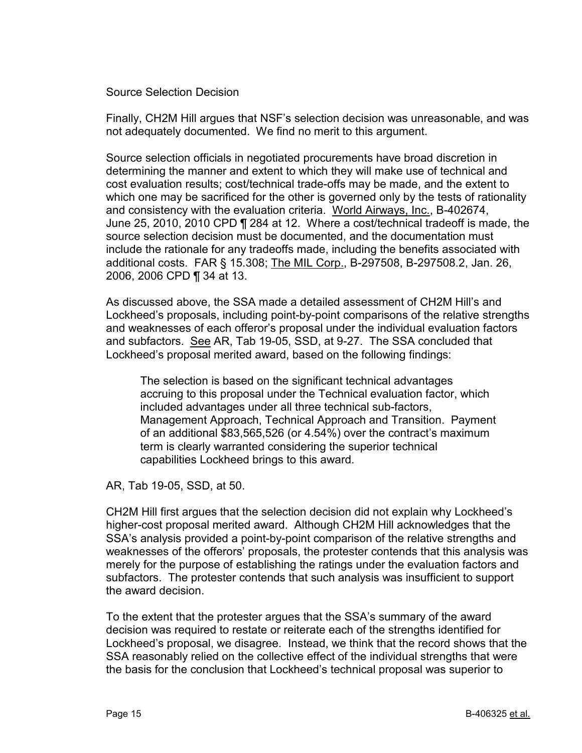Source Selection Decision

Finally, CH2M Hill argues that NSF's selection decision was unreasonable, and was not adequately documented. We find no merit to this argument.

Source selection officials in negotiated procurements have broad discretion in determining the manner and extent to which they will make use of technical and cost evaluation results; cost/technical trade-offs may be made, and the extent to which one may be sacrificed for the other is governed only by the tests of rationality and consistency with the evaluation criteria. World Airways, Inc., B-402674, June 25, 2010, 2010 CPD ¶ 284 at 12. Where a cost/technical tradeoff is made, the source selection decision must be documented, and the documentation must include the rationale for any tradeoffs made, including the benefits associated with additional costs. FAR § 15.308; The MIL Corp., B-297508, B-297508.2, Jan. 26, 2006, 2006 CPD ¶ 34 at 13.

As discussed above, the SSA made a detailed assessment of CH2M Hill's and Lockheed's proposals, including point-by-point comparisons of the relative strengths and weaknesses of each offeror's proposal under the individual evaluation factors and subfactors. See AR, Tab 19-05, SSD, at 9-27. The SSA concluded that Lockheed's proposal merited award, based on the following findings:

The selection is based on the significant technical advantages accruing to this proposal under the Technical evaluation factor, which included advantages under all three technical sub-factors, Management Approach, Technical Approach and Transition. Payment of an additional \$83,565,526 (or 4.54%) over the contract's maximum term is clearly warranted considering the superior technical capabilities Lockheed brings to this award.

AR, Tab 19-05, SSD, at 50.

CH2M Hill first argues that the selection decision did not explain why Lockheed's higher-cost proposal merited award. Although CH2M Hill acknowledges that the SSA's analysis provided a point-by-point comparison of the relative strengths and weaknesses of the offerors' proposals, the protester contends that this analysis was merely for the purpose of establishing the ratings under the evaluation factors and subfactors. The protester contends that such analysis was insufficient to support the award decision.

To the extent that the protester argues that the SSA's summary of the award decision was required to restate or reiterate each of the strengths identified for Lockheed's proposal, we disagree. Instead, we think that the record shows that the SSA reasonably relied on the collective effect of the individual strengths that were the basis for the conclusion that Lockheed's technical proposal was superior to